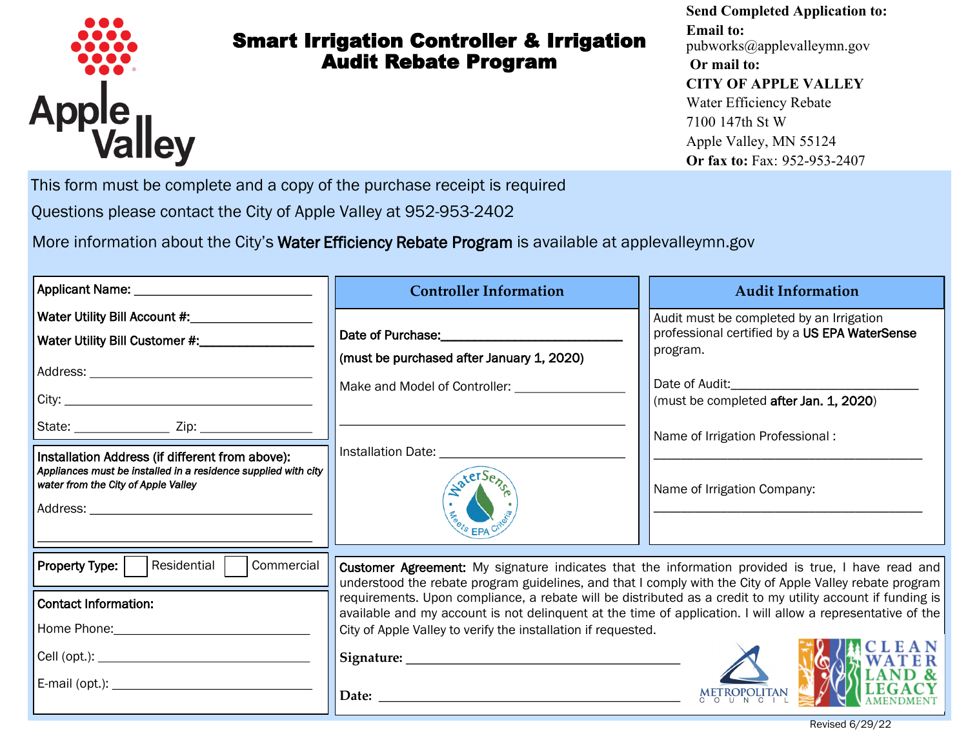

## Smart Irrigation Controller & Irrigation Audit Rebate Program

## **Send Completed Application to: Email to:**  pubworks@applevalleymn.gov **Or mail to: CITY OF APPLE VALLEY** Water Efficiency Rebate 7100 147th St W Apple Valley, MN 55124 **Or fax to:** Fax: 952-953-2407

This form must be complete and a copy of the purchase receipt is required

*Water Conservation* Questions please contact the City of Apple Valley at 952-953-2402

More information about the City's Water Efficiency Rebate Program is available at applevalleymn.gov

| Applicant Name: ______________________________                                                                                                                                                      | <b>Controller Information</b>                                                                                                                                                                                                                                                                                                                                                                                                                                                                                                       | <b>Audit Information</b>                                                                                                                                                            |
|-----------------------------------------------------------------------------------------------------------------------------------------------------------------------------------------------------|-------------------------------------------------------------------------------------------------------------------------------------------------------------------------------------------------------------------------------------------------------------------------------------------------------------------------------------------------------------------------------------------------------------------------------------------------------------------------------------------------------------------------------------|-------------------------------------------------------------------------------------------------------------------------------------------------------------------------------------|
| Water Utility Bill Customer #:_____________                                                                                                                                                         | Date of Purchase:<br><u>Date of Purchase:</u><br>(must be purchased after January 1, 2020)                                                                                                                                                                                                                                                                                                                                                                                                                                          | Audit must be completed by an Irrigation<br>professional certified by a US EPA WaterSense<br>program.<br>(must be completed after Jan. 1, 2020)<br>Name of Irrigation Professional: |
| Installation Address (if different from above):<br>Appliances must be installed in a residence supplied with city<br>water from the City of Apple Valley                                            | Installation Date: 1986                                                                                                                                                                                                                                                                                                                                                                                                                                                                                                             | Name of Irrigation Company:                                                                                                                                                         |
| Residential<br><b>Property Type:</b><br>Commercial<br><b>Contact Information:</b><br>Home Phone: National Assembly Phone Phone: National Assembly Phone Phone Phone Phone Phone Phone Phone Phone P | <b>Customer Agreement:</b> My signature indicates that the information provided is true, I have read and<br>understood the rebate program guidelines, and that I comply with the City of Apple Valley rebate program<br>requirements. Upon compliance, a rebate will be distributed as a credit to my utility account if funding is<br>available and my account is not delinquent at the time of application. I will allow a representative of the<br>City of Apple Valley to verify the installation if requested.<br>Date: $\_\_$ |                                                                                                                                                                                     |